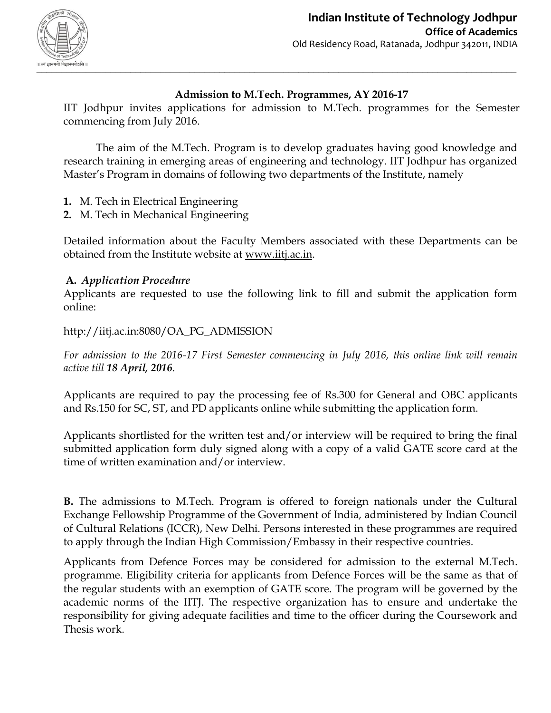

# **Admission to M.Tech. Programmes, AY 2016-17**

IIT Jodhpur invites applications for admission to M.Tech. programmes for the Semester commencing from July 2016.

The aim of the M.Tech. Program is to develop graduates having good knowledge and research training in emerging areas of engineering and technology. IIT Jodhpur has organized Master's Program in domains of following two departments of the Institute, namely

- **1.** M. Tech in Electrical Engineering
- **2.** M. Tech in Mechanical Engineering

Detailed information about the Faculty Members associated with these Departments can be obtained from the Institute website at [www.iitj.ac.in.](http://www.iitj.ac.in/)

### **A.** *Application Procedure*

Applicants are requested to use the following link to fill and submit the application form online:

http://iitj.ac.in:8080/OA\_PG\_ADMISSION

*For admission to the 2016-17 First Semester commencing in July 2016, this online link will remain active till 18 April, 2016.*

Applicants are required to pay the processing fee of Rs.300 for General and OBC applicants and Rs.150 for SC, ST, and PD applicants online while submitting the application form.

Applicants shortlisted for the written test and/or interview will be required to bring the final submitted application form duly signed along with a copy of a valid GATE score card at the time of written examination and/or interview.

**B.** The admissions to M.Tech. Program is offered to foreign nationals under the Cultural Exchange Fellowship Programme of the Government of India, administered by Indian Council of Cultural Relations (ICCR), New Delhi. Persons interested in these programmes are required to apply through the Indian High Commission/Embassy in their respective countries.

Applicants from Defence Forces may be considered for admission to the external M.Tech. programme. Eligibility criteria for applicants from Defence Forces will be the same as that of the regular students with an exemption of GATE score. The program will be governed by the academic norms of the IITJ. The respective organization has to ensure and undertake the responsibility for giving adequate facilities and time to the officer during the Coursework and Thesis work.